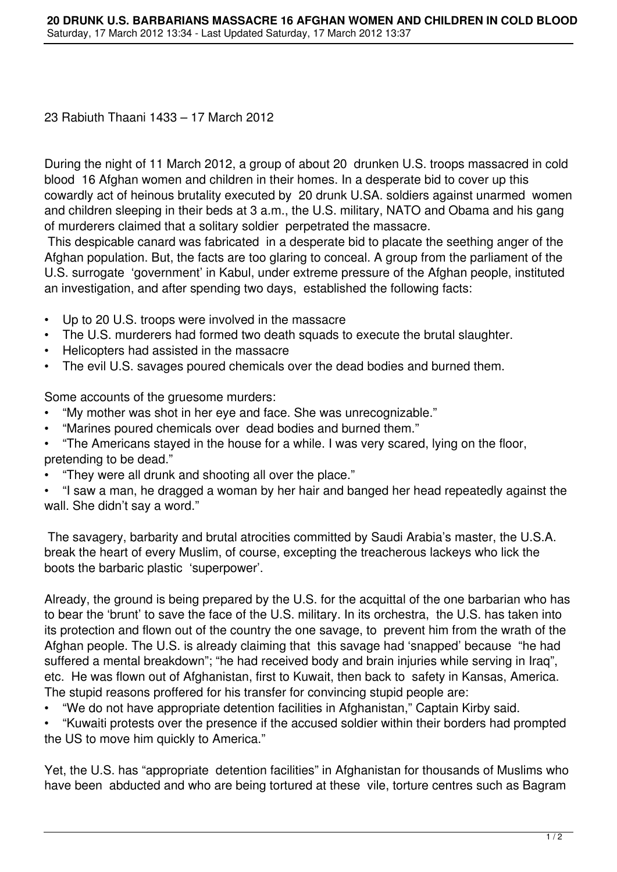23 Rabiuth Thaani 1433 – 17 March 2012

During the night of 11 March 2012, a group of about 20 drunken U.S. troops massacred in cold blood 16 Afghan women and children in their homes. In a desperate bid to cover up this cowardly act of heinous brutality executed by 20 drunk U.SA. soldiers against unarmed women and children sleeping in their beds at 3 a.m., the U.S. military, NATO and Obama and his gang of murderers claimed that a solitary soldier perpetrated the massacre.

 This despicable canard was fabricated in a desperate bid to placate the seething anger of the Afghan population. But, the facts are too glaring to conceal. A group from the parliament of the U.S. surrogate 'government' in Kabul, under extreme pressure of the Afghan people, instituted an investigation, and after spending two days, established the following facts:

- Up to 20 U.S. troops were involved in the massacre
- The U.S. murderers had formed two death squads to execute the brutal slaughter.
- Helicopters had assisted in the massacre
- The evil U.S. savages poured chemicals over the dead bodies and burned them.

Some accounts of the gruesome murders:

- "My mother was shot in her eye and face. She was unrecognizable."
- "Marines poured chemicals over dead bodies and burned them."
- "The Americans stayed in the house for a while. I was very scared, lying on the floor, pretending to be dead."
- "They were all drunk and shooting all over the place."
- "I saw a man, he dragged a woman by her hair and banged her head repeatedly against the wall. She didn't say a word."

 The savagery, barbarity and brutal atrocities committed by Saudi Arabia's master, the U.S.A. break the heart of every Muslim, of course, excepting the treacherous lackeys who lick the boots the barbaric plastic 'superpower'.

Already, the ground is being prepared by the U.S. for the acquittal of the one barbarian who has to bear the 'brunt' to save the face of the U.S. military. In its orchestra, the U.S. has taken into its protection and flown out of the country the one savage, to prevent him from the wrath of the Afghan people. The U.S. is already claiming that this savage had 'snapped' because "he had suffered a mental breakdown"; "he had received body and brain injuries while serving in Iraq", etc. He was flown out of Afghanistan, first to Kuwait, then back to safety in Kansas, America. The stupid reasons proffered for his transfer for convincing stupid people are:

• "We do not have appropriate detention facilities in Afghanistan," Captain Kirby said.

• "Kuwaiti protests over the presence if the accused soldier within their borders had prompted the US to move him quickly to America."

Yet, the U.S. has "appropriate detention facilities" in Afghanistan for thousands of Muslims who have been abducted and who are being tortured at these vile, torture centres such as Bagram